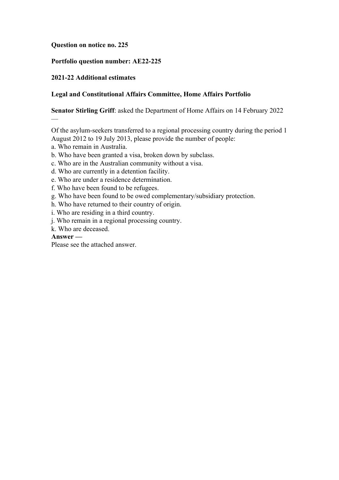# **Question on notice no. 225**

# **Portfolio question number: AE22-225**

# **2021-22 Additional estimates**

# **Legal and Constitutional Affairs Committee, Home Affairs Portfolio**

# **Senator Stirling Griff**: asked the Department of Home Affairs on 14 February 2022

Of the asylum-seekers transferred to a regional processing country during the period 1 August 2012 to 19 July 2013, please provide the number of people:

- a. Who remain in Australia.
- b. Who have been granted a visa, broken down by subclass.
- c. Who are in the Australian community without a visa.
- d. Who are currently in a detention facility.
- e. Who are under a residence determination.
- f. Who have been found to be refugees.
- g. Who have been found to be owed complementary/subsidiary protection.
- h. Who have returned to their country of origin.
- i. Who are residing in a third country.
- j. Who remain in a regional processing country.
- k. Who are deceased.

# **Answer —**

—

Please see the attached answer.